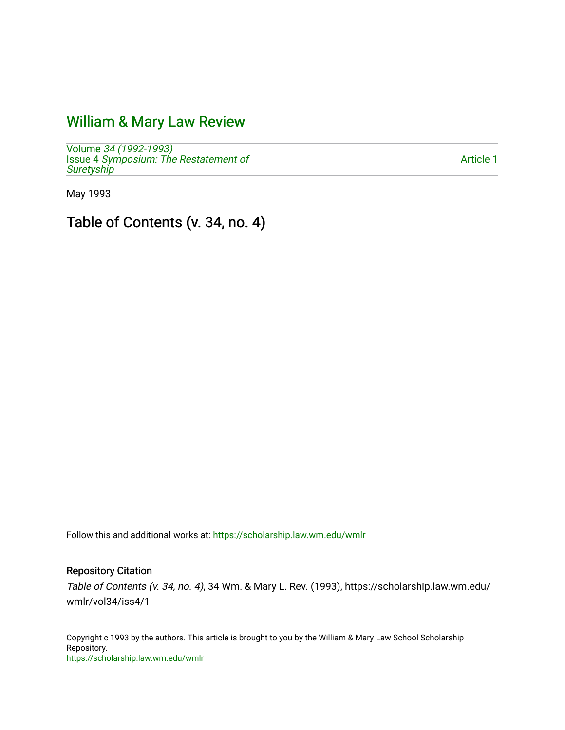## [William & Mary Law Review](https://scholarship.law.wm.edu/wmlr)

Volume [34 \(1992-1993\)](https://scholarship.law.wm.edu/wmlr/vol34)  Issue 4 [Symposium: The Restatement of](https://scholarship.law.wm.edu/wmlr/vol34/iss4) **[Suretyship](https://scholarship.law.wm.edu/wmlr/vol34/iss4)** 

[Article 1](https://scholarship.law.wm.edu/wmlr/vol34/iss4/1) 

May 1993

Table of Contents (v. 34, no. 4)

Follow this and additional works at: [https://scholarship.law.wm.edu/wmlr](https://scholarship.law.wm.edu/wmlr?utm_source=scholarship.law.wm.edu%2Fwmlr%2Fvol34%2Fiss4%2F1&utm_medium=PDF&utm_campaign=PDFCoverPages)

#### Repository Citation

Table of Contents (v. 34, no. 4), 34 Wm. & Mary L. Rev. (1993), https://scholarship.law.wm.edu/ wmlr/vol34/iss4/1

Copyright c 1993 by the authors. This article is brought to you by the William & Mary Law School Scholarship Repository. <https://scholarship.law.wm.edu/wmlr>